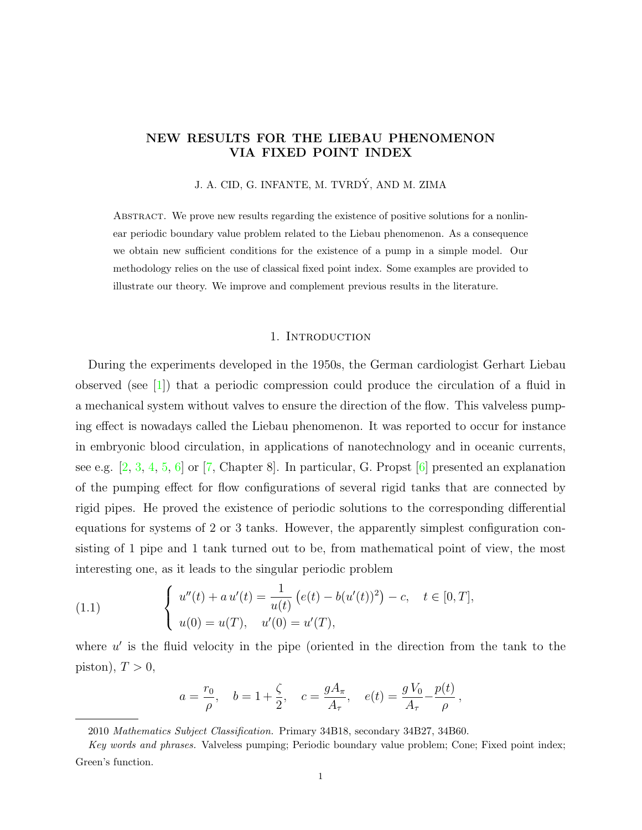# NEW RESULTS FOR THE LIEBAU PHENOMENON VIA FIXED POINT INDEX

J. A. CID, G. INFANTE, M. TVRDÝ, AND M. ZIMA

Abstract. We prove new results regarding the existence of positive solutions for a nonlinear periodic boundary value problem related to the Liebau phenomenon. As a consequence we obtain new sufficient conditions for the existence of a pump in a simple model. Our methodology relies on the use of classical fixed point index. Some examples are provided to illustrate our theory. We improve and complement previous results in the literature.

#### 1. INTRODUCTION

During the experiments developed in the 1950s, the German cardiologist Gerhart Liebau observed (see [\[1\]](#page-14-0)) that a periodic compression could produce the circulation of a fluid in a mechanical system without valves to ensure the direction of the flow. This valveless pumping effect is nowadays called the Liebau phenomenon. It was reported to occur for instance in embryonic blood circulation, in applications of nanotechnology and in oceanic currents, see e.g. [\[2,](#page-14-1) [3,](#page-14-2) [4,](#page-15-0) [5,](#page-15-1) [6\]](#page-15-2) or [\[7,](#page-15-3) Chapter 8]. In particular, G. Propst [\[6\]](#page-15-2) presented an explanation of the pumping effect for flow configurations of several rigid tanks that are connected by rigid pipes. He proved the existence of periodic solutions to the corresponding differential equations for systems of 2 or 3 tanks. However, the apparently simplest configuration consisting of 1 pipe and 1 tank turned out to be, from mathematical point of view, the most interesting one, as it leads to the singular periodic problem

<span id="page-0-0"></span>(1.1) 
$$
\begin{cases} u''(t) + a u'(t) = \frac{1}{u(t)} (e(t) - b(u'(t))^2) - c, \quad t \in [0, T], \\ u(0) = u(T), \quad u'(0) = u'(T), \end{cases}
$$

where  $u'$  is the fluid velocity in the pipe (oriented in the direction from the tank to the piston),  $T > 0$ ,

$$
a = \frac{r_0}{\rho}, \quad b = 1 + \frac{\zeta}{2}, \quad c = \frac{gA_\pi}{A_\tau}, \quad e(t) = \frac{gV_0}{A_\tau} - \frac{p(t)}{\rho},
$$

<sup>2010</sup> Mathematics Subject Classification. Primary 34B18, secondary 34B27, 34B60.

Key words and phrases. Valveless pumping; Periodic boundary value problem; Cone; Fixed point index; Green's function.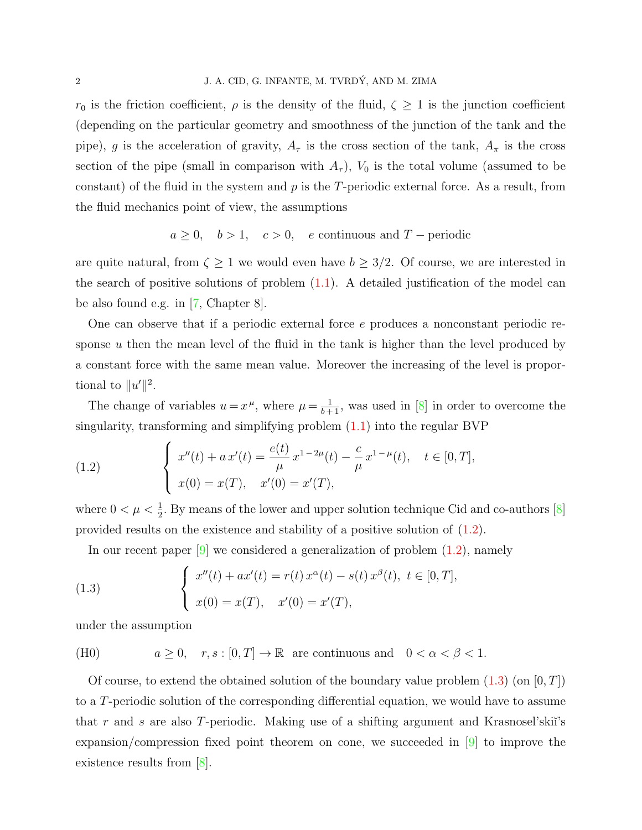$r_0$  is the friction coefficient,  $\rho$  is the density of the fluid,  $\zeta \geq 1$  is the junction coefficient (depending on the particular geometry and smoothness of the junction of the tank and the pipe), g is the acceleration of gravity,  $A_{\tau}$  is the cross section of the tank,  $A_{\pi}$  is the cross section of the pipe (small in comparison with  $A_{\tau}$ ),  $V_0$  is the total volume (assumed to be constant) of the fluid in the system and  $p$  is the  $T$ -periodic external force. As a result, from the fluid mechanics point of view, the assumptions

$$
a \ge 0
$$
,  $b > 1$ ,  $c > 0$ , e continuous and T – periodic

are quite natural, from  $\zeta \geq 1$  we would even have  $b \geq 3/2$ . Of course, we are interested in the search of positive solutions of problem  $(1.1)$ . A detailed justification of the model can be also found e.g. in [\[7,](#page-15-3) Chapter 8].

One can observe that if a periodic external force  $e$  produces a nonconstant periodic response  $u$  then the mean level of the fluid in the tank is higher than the level produced by a constant force with the same mean value. Moreover the increasing of the level is proportional to  $||u'||^2$ .

The change of variables  $u = x^{\mu}$ , where  $\mu = \frac{1}{b+1}$ , was used in [\[8\]](#page-15-4) in order to overcome the singularity, transforming and simplifying problem [\(1.1\)](#page-0-0) into the regular BVP

<span id="page-1-0"></span>(1.2) 
$$
\begin{cases} x''(t) + a x'(t) = \frac{e(t)}{\mu} x^{1-2\mu}(t) - \frac{c}{\mu} x^{1-\mu}(t), & t \in [0, T], \\ x(0) = x(T), & x'(0) = x'(T), \end{cases}
$$

where  $0 < \mu < \frac{1}{2}$ . By means of the lower and upper solution technique Cid and co-authors [\[8\]](#page-15-4) provided results on the existence and stability of a positive solution of [\(1.2\)](#page-1-0).

<span id="page-1-1"></span>In our recent paper  $[9]$  we considered a generalization of problem  $(1.2)$ , namely

(1.3) 
$$
\begin{cases} x''(t) + ax'(t) = r(t) x^{\alpha}(t) - s(t) x^{\beta}(t), \ t \in [0, T], \\ x(0) = x(T), \quad x'(0) = x'(T), \end{cases}
$$

under the assumption

(H0) 
$$
a \ge 0
$$
,  $r, s : [0, T] \to \mathbb{R}$  are continuous and  $0 < \alpha < \beta < 1$ .

Of course, to extend the obtained solution of the boundary value problem  $(1.3)$  (on  $[0, T]$ ) to a T-periodic solution of the corresponding differential equation, we would have to assume that r and s are also T-periodic. Making use of a shifting argument and Krasnosel'skiı's expansion/compression fixed point theorem on cone, we succeeded in  $[9]$  to improve the existence results from  $|8|$ .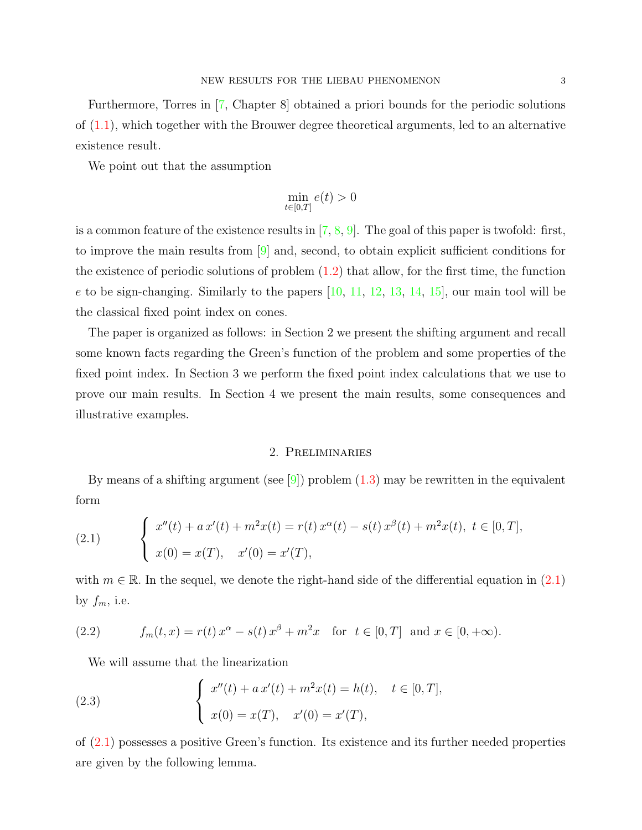Furthermore, Torres in [\[7,](#page-15-3) Chapter 8] obtained a priori bounds for the periodic solutions of [\(1.1\)](#page-0-0), which together with the Brouwer degree theoretical arguments, led to an alternative existence result.

We point out that the assumption

$$
\min_{t \in [0,T]} e(t) > 0
$$

is a common feature of the existence results in  $[7, 8, 9]$  $[7, 8, 9]$  $[7, 8, 9]$  $[7, 8, 9]$  $[7, 8, 9]$ . The goal of this paper is twofold: first, to improve the main results from  $[9]$  and, second, to obtain explicit sufficient conditions for the existence of periodic solutions of problem  $(1.2)$  that allow, for the first time, the function e to be sign-changing. Similarly to the papers  $[10, 11, 12, 13, 14, 15]$  $[10, 11, 12, 13, 14, 15]$  $[10, 11, 12, 13, 14, 15]$  $[10, 11, 12, 13, 14, 15]$  $[10, 11, 12, 13, 14, 15]$  $[10, 11, 12, 13, 14, 15]$  $[10, 11, 12, 13, 14, 15]$  $[10, 11, 12, 13, 14, 15]$  $[10, 11, 12, 13, 14, 15]$  $[10, 11, 12, 13, 14, 15]$  $[10, 11, 12, 13, 14, 15]$ , our main tool will be the classical fixed point index on cones.

The paper is organized as follows: in Section 2 we present the shifting argument and recall some known facts regarding the Green's function of the problem and some properties of the fixed point index. In Section 3 we perform the fixed point index calculations that we use to prove our main results. In Section 4 we present the main results, some consequences and illustrative examples.

## 2. Preliminaries

By means of a shifting argument (see  $[9]$ ) problem  $(1.3)$  may be rewritten in the equivalent form

<span id="page-2-0"></span>(2.1) 
$$
\begin{cases} x''(t) + a x'(t) + m^2 x(t) = r(t) x^{\alpha}(t) - s(t) x^{\beta}(t) + m^2 x(t), \ t \in [0, T], \\ x(0) = x(T), \quad x'(0) = x'(T), \end{cases}
$$

with  $m \in \mathbb{R}$ . In the sequel, we denote the right-hand side of the differential equation in [\(2.1\)](#page-2-0) by  $f_m$ , i.e.

<span id="page-2-2"></span>(2.2) 
$$
f_m(t,x) = r(t) x^{\alpha} - s(t) x^{\beta} + m^2 x \text{ for } t \in [0,T] \text{ and } x \in [0,+\infty).
$$

<span id="page-2-1"></span>We will assume that the linearization

(2.3) 
$$
\begin{cases} x''(t) + a x'(t) + m^2 x(t) = h(t), \quad t \in [0, T], \\ x(0) = x(T), \quad x'(0) = x'(T), \end{cases}
$$

of [\(2.1\)](#page-2-0) possesses a positive Green's function. Its existence and its further needed properties are given by the following lemma.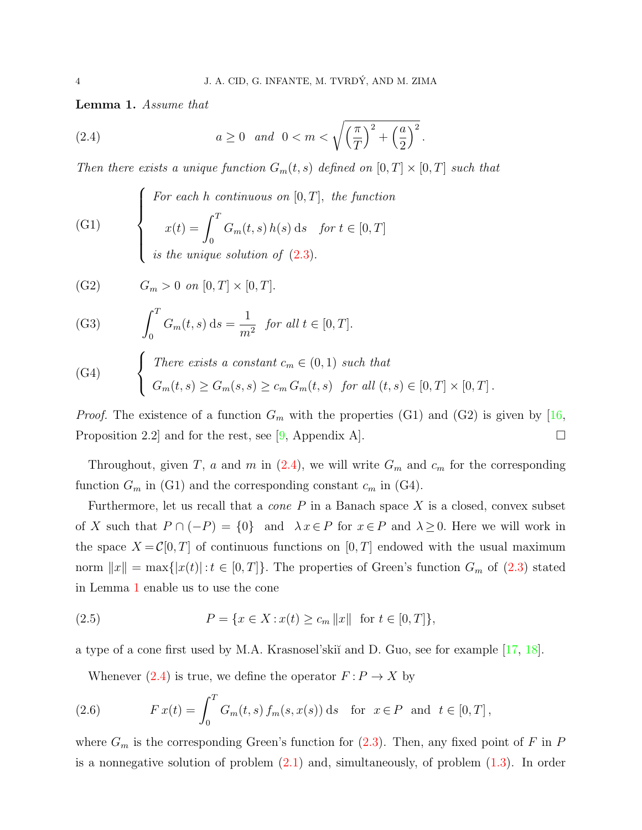.

<span id="page-3-1"></span>Lemma 1. Assume that

<span id="page-3-0"></span>(2.4) 
$$
a \ge 0
$$
 and  $0 < m < \sqrt{\left(\frac{\pi}{T}\right)^2 + \left(\frac{a}{2}\right)^2}$ 

Then there exists a unique function  $G_m(t, s)$  defined on  $[0, T] \times [0, T]$  such that

(G1) 
$$
\begin{cases}\n\text{For each } h \text{ continuous on } [0, T], \text{ the function} \\
x(t) = \int_0^T G_m(t, s) h(s) \, ds & \text{for } t \in [0, T] \\
\text{is the unique solution of } (2.3).\n\end{cases}
$$

(G2)  $G_m > 0$  on  $[0, T] \times [0, T]$ .

(G3) 
$$
\int_0^T G_m(t,s) \, ds = \frac{1}{m^2} \text{ for all } t \in [0,T].
$$

(G4) 
$$
\begin{cases} \text{There exists a constant } c_m \in (0,1) \text{ such that} \\ G_m(t,s) \geq G_m(s,s) \geq c_m G_m(t,s) \text{ for all } (t,s) \in [0,T] \times [0,T]. \end{cases}
$$

*Proof.* The existence of a function  $G_m$  with the properties (G1) and (G2) is given by [\[16,](#page-15-12) Proposition 2.2 and for the rest, see [\[9,](#page-15-5) Appendix A].

Throughout, given T, a and m in  $(2.4)$ , we will write  $G_m$  and  $c_m$  for the corresponding function  $G_m$  in (G1) and the corresponding constant  $c_m$  in (G4).

Furthermore, let us recall that a *cone*  $P$  in a Banach space  $X$  is a closed, convex subset of X such that  $P \cap (-P) = \{0\}$  and  $\lambda x \in P$  for  $x \in P$  and  $\lambda \geq 0$ . Here we will work in the space  $X = \mathcal{C}[0,T]$  of continuous functions on  $[0,T]$  endowed with the usual maximum norm  $||x|| = \max\{|x(t)| : t \in [0, T]\}.$  The properties of Green's function  $G_m$  of  $(2.3)$  stated in Lemma [1](#page-3-1) enable us to use the cone

<span id="page-3-2"></span>(2.5) 
$$
P = \{x \in X : x(t) \ge c_m \|x\| \text{ for } t \in [0, T]\},\
$$

a type of a cone first used by M.A. Krasnosel'ski˘ı and D. Guo, see for example [\[17,](#page-15-13) [18\]](#page-15-14).

<span id="page-3-3"></span>Whenever [\(2.4\)](#page-3-0) is true, we define the operator  $F: P \to X$  by

(2.6) 
$$
F x(t) = \int_0^T G_m(t, s) f_m(s, x(s)) ds \text{ for } x \in P \text{ and } t \in [0, T],
$$

where  $G_m$  is the corresponding Green's function for [\(2.3\)](#page-2-1). Then, any fixed point of F in P is a nonnegative solution of problem  $(2.1)$  and, simultaneously, of problem  $(1.3)$ . In order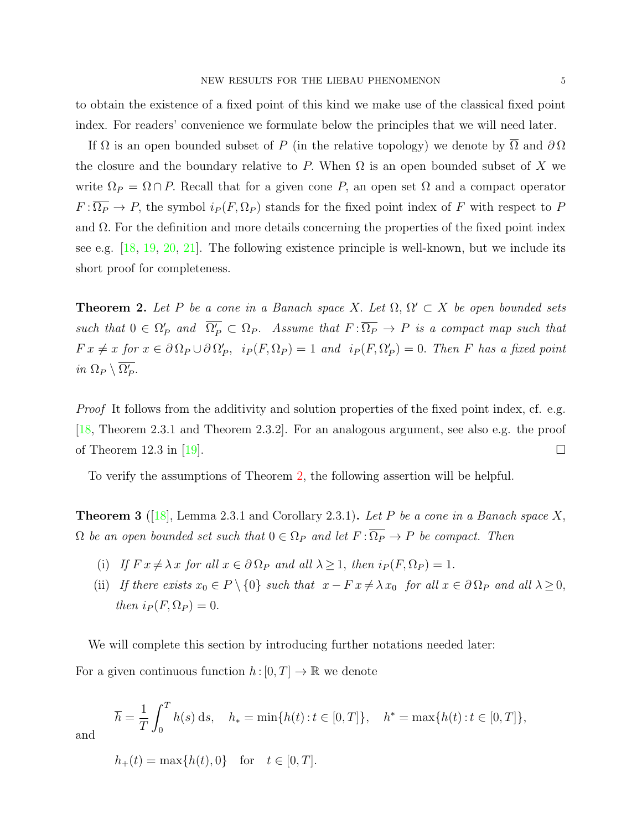to obtain the existence of a fixed point of this kind we make use of the classical fixed point index. For readers' convenience we formulate below the principles that we will need later.

If  $\Omega$  is an open bounded subset of P (in the relative topology) we denote by  $\Omega$  and  $\partial \Omega$ the closure and the boundary relative to P. When  $\Omega$  is an open bounded subset of X we write  $\Omega_P = \Omega \cap P$ . Recall that for a given cone P, an open set  $\Omega$  and a compact operator  $F:\overline{\Omega_P} \to P$ , the symbol  $i_P(F,\Omega_P)$  stands for the fixed point index of F with respect to P and  $\Omega$ . For the definition and more details concerning the properties of the fixed point index see e.g.  $[18, 19, 20, 21]$  $[18, 19, 20, 21]$  $[18, 19, 20, 21]$  $[18, 19, 20, 21]$  $[18, 19, 20, 21]$  $[18, 19, 20, 21]$  $[18, 19, 20, 21]$ . The following existence principle is well-known, but we include its short proof for completeness.

<span id="page-4-0"></span>**Theorem 2.** Let P be a cone in a Banach space X. Let  $\Omega$ ,  $\Omega' \subset X$  be open bounded sets such that  $0 \in \Omega_P'$  and  $\overline{\Omega_P'} \subset \Omega_P$ . Assume that  $F: \overline{\Omega_P} \to P$  is a compact map such that  $Fx \neq x$  for  $x \in \partial \Omega_P \cup \partial \Omega'_P$ ,  $i_P(F, \Omega_P) = 1$  and  $i_P(F, \Omega'_P) = 0$ . Then F has a fixed point in  $\Omega_P \setminus \overline{\Omega_P'}$ .

Proof It follows from the additivity and solution properties of the fixed point index, cf. e.g. [\[18,](#page-15-14) Theorem 2.3.1 and Theorem 2.3.2]. For an analogous argument, see also e.g. the proof of Theorem 12.3 in [\[19\]](#page-15-15).  $\square$ 

To verify the assumptions of Theorem [2,](#page-4-0) the following assertion will be helpful.

<span id="page-4-1"></span>**Theorem 3** ([\[18\]](#page-15-14), Lemma 2.3.1 and Corollary 2.3.1). Let P be a cone in a Banach space X,  $\Omega$  be an open bounded set such that  $0 \in \Omega_P$  and let  $F : \overline{\Omega_P} \to P$  be compact. Then

- (i) If  $Fx \neq \lambda x$  for all  $x \in \partial \Omega_P$  and all  $\lambda \geq 1$ , then  $i_P(F, \Omega_P) = 1$ .
- (ii) If there exists  $x_0 \in P \setminus \{0\}$  such that  $x F x \neq \lambda x_0$  for all  $x \in \partial \Omega_P$  and all  $\lambda \geq 0$ , then  $i_P (F, \Omega_P) = 0$ .

We will complete this section by introducing further notations needed later: For a given continuous function  $h : [0, T] \to \mathbb{R}$  we denote

$$
\overline{h} = \frac{1}{T} \int_0^T h(s) \, ds, \quad h_* = \min\{h(t) : t \in [0, T]\}, \quad h^* = \max\{h(t) : t \in [0, T]\},
$$

and

 $h_+(t) = \max\{h(t), 0\}$  for  $t \in [0, T]$ .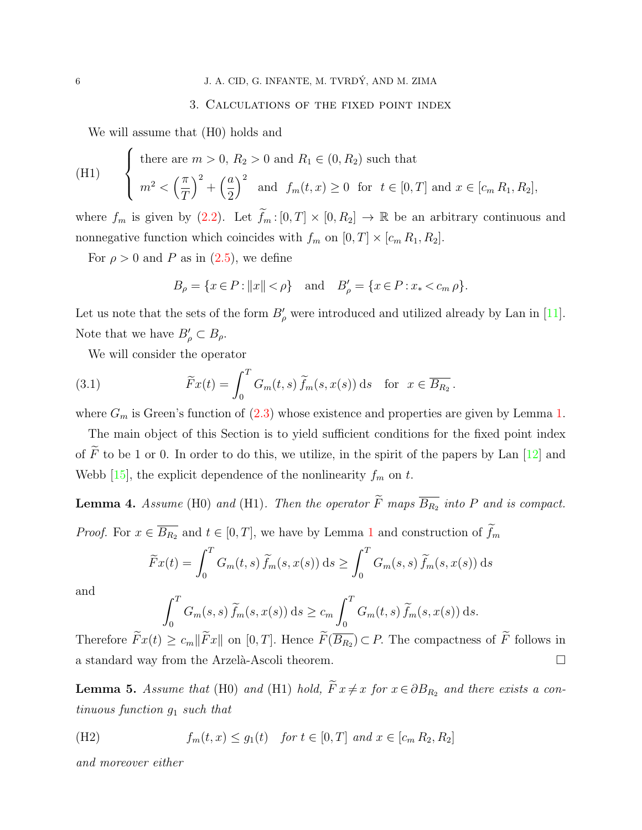### 3. Calculations of the fixed point index

<span id="page-5-1"></span>We will assume that (H0) holds and

(H1) 
$$
\begin{cases} \text{there are } m > 0, R_2 > 0 \text{ and } R_1 \in (0, R_2) \text{ such that} \\ m^2 < \left(\frac{\pi}{T}\right)^2 + \left(\frac{a}{2}\right)^2 \text{ and } f_m(t, x) \ge 0 \text{ for } t \in [0, T] \text{ and } x \in [c_m R_1, R_2], \end{cases}
$$

where  $f_m$  is given by [\(2.2\)](#page-2-2). Let  $\widetilde{f}_m : [0, T] \times [0, R_2] \to \mathbb{R}$  be an arbitrary continuous and nonnegative function which coincides with  $f_m$  on  $[0, T] \times [c_m R_1, R_2]$ .

For  $\rho > 0$  and P as in [\(2.5\)](#page-3-2), we define

$$
B_{\rho} = \{x \in P : ||x|| < \rho\}
$$
 and  $B'_{\rho} = \{x \in P : x_* < c_m \rho\}.$ 

Let us note that the sets of the form  $B'_{\rho}$  were introduced and utilized already by Lan in [\[11\]](#page-15-7). Note that we have  $B'_{\rho} \subset B_{\rho}$ .

We will consider the operator

(3.1) 
$$
\widetilde{F}x(t) = \int_0^T G_m(t,s) \widetilde{f}_m(s,x(s)) ds \text{ for } x \in \overline{B_{R_2}}.
$$

where  $G_m$  is Green's function of  $(2.3)$  whose existence and properties are given by Lemma [1.](#page-3-1)

The main object of this Section is to yield sufficient conditions for the fixed point index of  $\widetilde{F}$  to be 1 or 0. In order to do this, we utilize, in the spirit of the papers by Lan [\[12\]](#page-15-8) and Webb  $[15]$ , the explicit dependence of the nonlinearity  $f_m$  on t.

<span id="page-5-0"></span>**Lemma 4.** Assume (H0) and (H1). Then the operator F maps  $B_{R_2}$  into P and is compact. *Proof.* For  $x \in \overline{B_{R_2}}$  and  $t \in [0, T]$ , we have by Lemma [1](#page-3-1) and construction of  $\widetilde{f}_m$ 

$$
\widetilde{F}x(t) = \int_0^T G_m(t, s) \widetilde{f}_m(s, x(s)) ds \ge \int_0^T G_m(s, s) \widetilde{f}_m(s, x(s)) ds
$$

and

$$
\int_0^T G_m(s,s) \widetilde{f}_m(s,x(s)) ds \ge c_m \int_0^T G_m(t,s) \widetilde{f}_m(s,x(s)) ds.
$$

Therefore  $Fx(t) \geq c_m||Fx||$  on  $[0, T]$ . Hence  $F(B_{R_2}) \subset P$ . The compactness of F follows in a standard way from the Arzelà-Ascoli theorem.  $\Box$ 

<span id="page-5-2"></span>**Lemma 5.** Assume that (H0) and (H1) hold,  $\widetilde{F} x \neq x$  for  $x \in \partial B_{R_2}$  and there exists a continuous function  $q_1$  such that

(H2) 
$$
f_m(t, x) \le g_1(t)
$$
 for  $t \in [0, T]$  and  $x \in [c_m R_2, R_2]$ 

and moreover either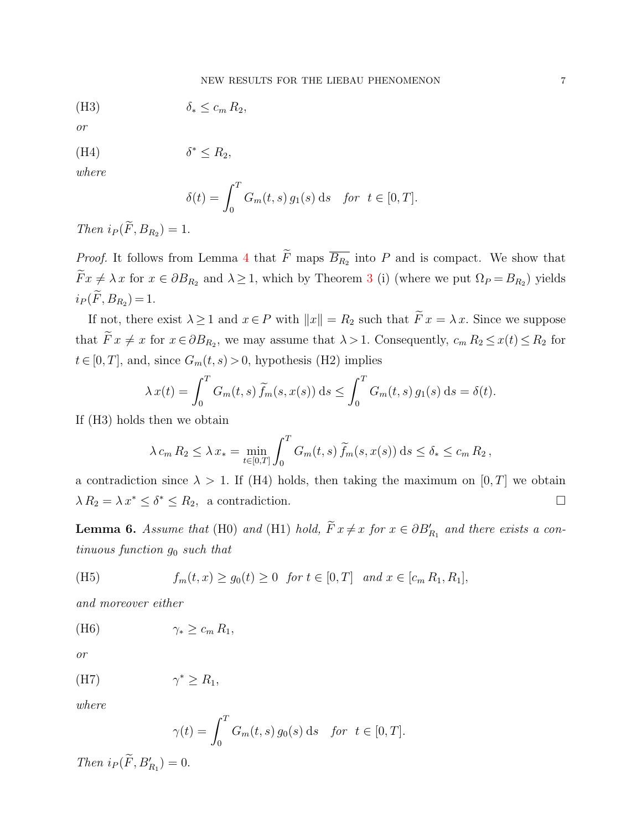(H3) δ<sup>∗</sup> ≤ c<sup>m</sup> R2,

or

$$
(H4) \t\t\t\t \delta^* \le R_2,
$$

where

$$
\delta(t) = \int_0^T G_m(t, s) g_1(s) \, \mathrm{d} s \quad \text{for } t \in [0, T].
$$

Then  $i_P(F, B_{R_2}) = 1$ .

*Proof.* It follows from Lemma [4](#page-5-0) that F maps  $\overline{B_{R_2}}$  into P and is compact. We show that  $Fx \neq \lambda x$  for  $x \in \partial B_{R_2}$  and  $\lambda \geq 1$ , which by Theorem [3](#page-4-1) (i) (where we put  $\Omega_P = B_{R_2}$ ) yields  $i_P(F, B_{R_2}) = 1.$ 

If not, there exist  $\lambda \geq 1$  and  $x \in P$  with  $||x|| = R_2$  such that  $\widetilde{F} x = \lambda x$ . Since we suppose that  $F x \neq x$  for  $x \in \partial B_{R_2}$ , we may assume that  $\lambda > 1$ . Consequently,  $c_m R_2 \leq x(t) \leq R_2$  for  $t \in [0, T]$ , and, since  $G_m(t, s) > 0$ , hypothesis (H2) implies

$$
\lambda x(t) = \int_0^T G_m(t,s) \widetilde{f}_m(s,x(s)) ds \le \int_0^T G_m(t,s) g_1(s) ds = \delta(t).
$$

If (H3) holds then we obtain

$$
\lambda c_m R_2 \leq \lambda x_* = \min_{t \in [0,T]} \int_0^T G_m(t,s) \widetilde{f}_m(s,x(s)) ds \leq \delta_* \leq c_m R_2,
$$

a contradiction since  $\lambda > 1$ . If (H4) holds, then taking the maximum on [0, T] we obtain  $\lambda R_2 = \lambda x^* \leq \delta^* \leq R_2$ , a contradiction.

<span id="page-6-0"></span>**Lemma 6.** Assume that (H0) and (H1) hold,  $\tilde{F} x \neq x$  for  $x \in \partial B'_{R_1}$  and there exists a continuous function  $g_0$  such that

(H5) 
$$
f_m(t, x) \ge g_0(t) \ge 0
$$
 for  $t \in [0, T]$  and  $x \in [c_m R_1, R_1]$ ,

and moreover either

$$
(H6) \t\t\t\t\t\t\t\t\t\t\t\t\t\gamma_* \geq c_m R_1,
$$

or

(H7) 
$$
\gamma^* \ge R_1,
$$

where

$$
\gamma(t) = \int_0^T G_m(t, s) g_0(s) \, \mathrm{d}s \quad \text{for } t \in [0, T].
$$

Then  $i_P(F, B'_{R_1}) = 0$ .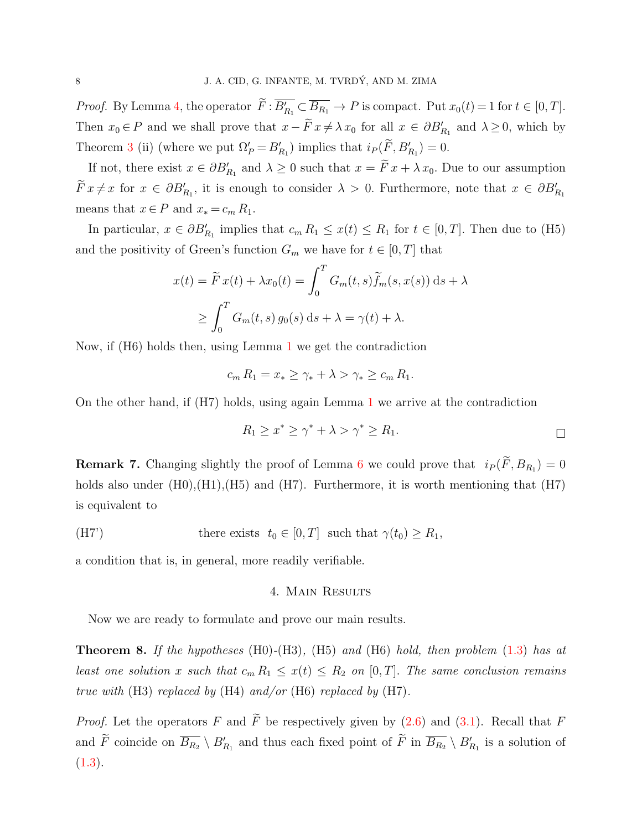*Proof.* By Lemma [4,](#page-5-0) the operator  $\overline{F} : \overline{B'_{R_1}} \subset \overline{B_{R_1}} \to P$  is compact. Put  $x_0(t) = 1$  for  $t \in [0, T]$ . Then  $x_0 \in P$  and we shall prove that  $x - \tilde{F} x \neq \lambda x_0$  for all  $x \in \partial B'_{R_1}$  and  $\lambda \geq 0$ , which by Theorem [3](#page-4-1) (ii) (where we put  $\Omega'_{P} = B'_{R_1}$ ) implies that  $i_{P}(\tilde{F}, B'_{R_1}) = 0$ .

If not, there exist  $x \in \partial B'_{R_1}$  and  $\lambda \geq 0$  such that  $x = \tilde{F} x + \lambda x_0$ . Due to our assumption  $\widetilde{F} x \neq x$  for  $x \in \partial B'_{R_1}$ , it is enough to consider  $\lambda > 0$ . Furthermore, note that  $x \in \partial B'_{R_1}$ means that  $x \in P$  and  $x_* = c_m R_1$ .

In particular,  $x \in \partial B'_{R_1}$  implies that  $c_m R_1 \leq x(t) \leq R_1$  for  $t \in [0, T]$ . Then due to (H5) and the positivity of Green's function  $G_m$  we have for  $t \in [0, T]$  that

$$
x(t) = \widetilde{F}x(t) + \lambda x_0(t) = \int_0^T G_m(t, s)\widetilde{f}_m(s, x(s)) ds + \lambda
$$
  

$$
\geq \int_0^T G_m(t, s) g_0(s) ds + \lambda = \gamma(t) + \lambda.
$$

Now, if (H6) holds then, using Lemma [1](#page-3-1) we get the contradiction

$$
c_m R_1 = x_* \ge \gamma_* + \lambda > \gamma_* \ge c_m R_1.
$$

On the other hand, if (H7) holds, using again Lemma [1](#page-3-1) we arrive at the contradiction

$$
R_1 \ge x^* \ge \gamma^* + \lambda > \gamma^* \ge R_1.
$$

<span id="page-7-1"></span>**Remark 7.** Changing slightly the proof of Lemma [6](#page-6-0) we could prove that  $i_P(F, B_{R_1}) = 0$ holds also under  $(H0),(H1),(H5)$  and  $(H7)$ . Furthermore, it is worth mentioning that  $(H7)$ is equivalent to

(H7')   
there exists 
$$
t_0 \in [0, T]
$$
 such that  $\gamma(t_0) \ge R_1$ ,

a condition that is, in general, more readily verifiable.

#### 4. Main Results

Now we are ready to formulate and prove our main results.

<span id="page-7-0"></span>**Theorem 8.** If the hypotheses  $(H0)-(H3)$ ,  $(H5)$  and  $(H6)$  hold, then problem  $(1.3)$  has at least one solution x such that  $c_m R_1 \leq x(t) \leq R_2$  on [0, T]. The same conclusion remains true with  $(H3)$  replaced by  $(H4)$  and/or  $(H6)$  replaced by  $(H7)$ .

*Proof.* Let the operators F and  $\widetilde{F}$  be respectively given by [\(2.6\)](#page-3-3) and [\(3.1\)](#page-5-1). Recall that F and  $\tilde{F}$  coincide on  $\overline{B_{R_2}} \setminus B'_{R_1}$  and thus each fixed point of  $\tilde{F}$  in  $\overline{B_{R_2}} \setminus B'_{R_1}$  is a solution of  $(1.3).$  $(1.3).$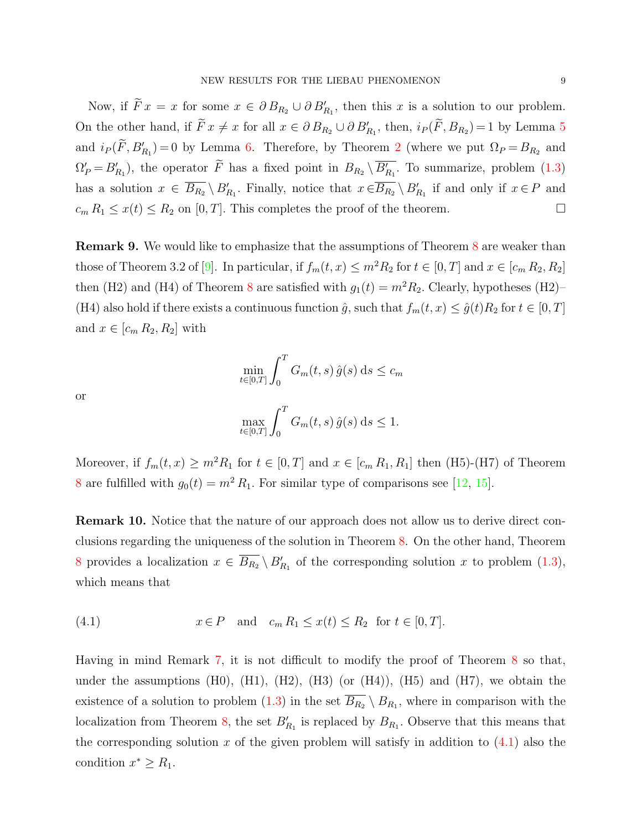Now, if  $\overline{F}x = x$  for some  $x \in \partial B_{R_2} \cup \partial B'_{R_1}$ , then this x is a solution to our problem. On the other hand, if  $\tilde{F} x \neq x$  for all  $x \in \partial B_{R_2} \cup \partial B'_{R_1}$ , then,  $i_P(\tilde{F}, B_{R_2}) = 1$  by Lemma [5](#page-5-2) and  $i_P(F, B'_{R_1}) = 0$  by Lemma [6.](#page-6-0) Therefore, by Theorem [2](#page-4-0) (where we put  $\Omega_P = B_{R_2}$  and  $\Omega'_P = B'_{R_1}$ , the operator  $\tilde{F}$  has a fixed point in  $B_{R_2} \setminus \overline{B'_{R_1}}$ . To summarize, problem [\(1.3\)](#page-1-1) has a solution  $x \in \overline{B_{R_2}} \setminus B'_{R_1}$ . Finally, notice that  $x \in \overline{B_{R_2}} \setminus B'_{R_1}$  if and only if  $x \in P$  and  $c_m R_1 \leq x(t) \leq R_2$  on [0, T]. This completes the proof of the theorem.

<span id="page-8-1"></span>Remark 9. We would like to emphasize that the assumptions of Theorem [8](#page-7-0) are weaker than those of Theorem 3.2 of [\[9\]](#page-15-5). In particular, if  $f_m(t, x) \leq m^2 R_2$  for  $t \in [0, T]$  and  $x \in [c_m R_2, R_2]$ then (H2) and (H4) of Theorem [8](#page-7-0) are satisfied with  $g_1(t) = m^2 R_2$ . Clearly, hypotheses (H2)– (H4) also hold if there exists a continuous function  $\hat{g}$ , such that  $f_m(t, x) \leq \hat{g}(t)R_2$  for  $t \in [0, T]$ and  $x \in [c_m R_2, R_2]$  with

$$
\min_{t \in [0,T]} \int_0^T G_m(t,s) \,\hat{g}(s) \,\mathrm{d}s \le c_m
$$

 $G_m(t, s) \hat{g}(s) ds \leq 1.$ 

or

Moreover, if 
$$
f_m(t, x) \ge m^2 R_1
$$
 for  $t \in [0, T]$  and  $x \in [c_m R_1, R_1]$  then (H5)-(H7) of Theorem 8 are fulfilled with  $g_0(t) = m^2 R_1$ . For similar type of comparisons see [12, 15].

Remark 10. Notice that the nature of our approach does not allow us to derive direct conclusions regarding the uniqueness of the solution in Theorem [8.](#page-7-0) On the other hand, Theorem [8](#page-7-0) provides a localization  $x \in \overline{B_{R_2}} \setminus B'_{R_1}$  of the corresponding solution x to problem [\(1.3\)](#page-1-1), which means that

<span id="page-8-0"></span>
$$
(4.1) \t x \in P \quad \text{and} \quad c_m R_1 \le x(t) \le R_2 \quad \text{for } t \in [0, T].
$$

 $\max_{t \in [0,T]}$ 

 $\int_0^T$ 

 $\boldsymbol{0}$ 

Having in mind Remark [7,](#page-7-1) it is not difficult to modify the proof of Theorem [8](#page-7-0) so that, under the assumptions  $(H0)$ ,  $(H1)$ ,  $(H2)$ ,  $(H3)$  (or  $(H4)$ ),  $(H5)$  and  $(H7)$ , we obtain the existence of a solution to problem  $(1.3)$  in the set  $\overline{B_{R_2}} \setminus B_{R_1}$ , where in comparison with the localization from Theorem [8,](#page-7-0) the set  $B'_{R_1}$  is replaced by  $B_{R_1}$ . Observe that this means that the corresponding solution x of the given problem will satisfy in addition to  $(4.1)$  also the condition  $x^* \geq R_1$ .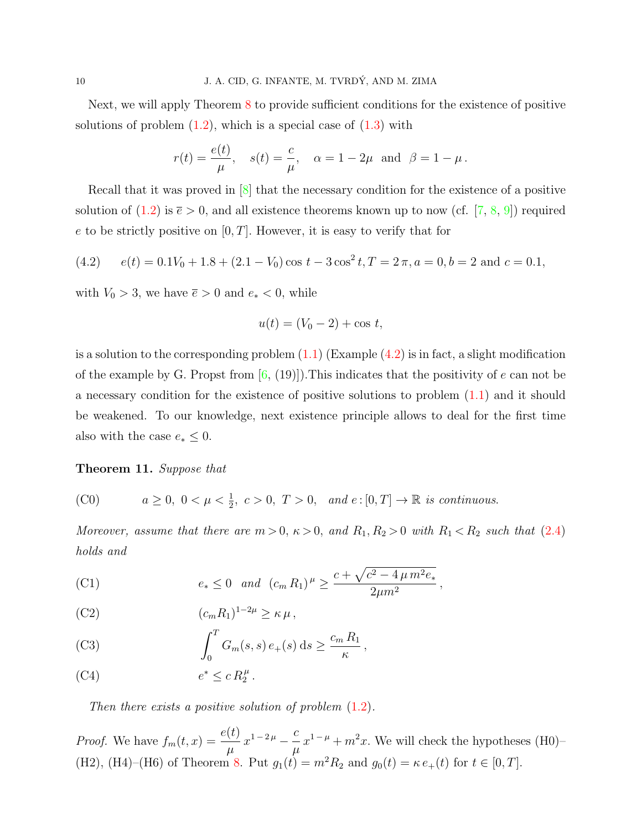Next, we will apply Theorem [8](#page-7-0) to provide sufficient conditions for the existence of positive solutions of problem  $(1.2)$ , which is a special case of  $(1.3)$  with

$$
r(t) = \frac{e(t)}{\mu}
$$
,  $s(t) = \frac{c}{\mu}$ ,  $\alpha = 1 - 2\mu$  and  $\beta = 1 - \mu$ .

Recall that it was proved in [\[8\]](#page-15-4) that the necessary condition for the existence of a positive solution of [\(1.2\)](#page-1-0) is  $\bar{e} > 0$ , and all existence theorems known up to now (cf. [\[7,](#page-15-3) [8,](#page-15-4) [9\]](#page-15-5)) required e to be strictly positive on  $[0, T]$ . However, it is easy to verify that for

<span id="page-9-0"></span>(4.2) 
$$
e(t) = 0.1V_0 + 1.8 + (2.1 - V_0)\cos t - 3\cos^2 t, T = 2\pi, a = 0, b = 2 \text{ and } c = 0.1,
$$

with  $V_0 > 3$ , we have  $\bar{e} > 0$  and  $e_* < 0$ , while

$$
u(t) = (V_0 - 2) + \cos t,
$$

is a solution to the corresponding problem  $(1.1)$  (Example  $(4.2)$ ) is in fact, a slight modification of the example by G. Propst from  $[6, (19)]$  $[6, (19)]$ . This indicates that the positivity of e can not be a necessary condition for the existence of positive solutions to problem [\(1.1\)](#page-0-0) and it should be weakened. To our knowledge, next existence principle allows to deal for the first time also with the case  $e_* \leq 0$ .

### <span id="page-9-2"></span>Theorem 11. Suppose that

<span id="page-9-1"></span>(C0) 
$$
a \geq 0, \ 0 < \mu < \frac{1}{2}, \ c > 0, \ T > 0, \ \text{and} \ e : [0, T] \to \mathbb{R}
$$
 is continuous.

Moreover, assume that there are  $m > 0$ ,  $\kappa > 0$ , and  $R_1, R_2 > 0$  with  $R_1 < R_2$  such that [\(2.4\)](#page-3-0) holds and

(C1) 
$$
e_* \leq 0
$$
 and  $(c_m R_1)^{\mu} \geq \frac{c + \sqrt{c^2 - 4 \mu m^2 e_*}}{2 \mu m^2}$ ,

(C2) 
$$
(c_m R_1)^{1-2\mu} \geq \kappa \mu,
$$

(C3) 
$$
\int_0^T G_m(s,s) e_+(s) ds \geq \frac{c_m R_1}{\kappa},
$$

(C4)  $e^* \le c R_2^{\mu}$ .

Then there exists a positive solution of problem  $(1.2)$ .

*Proof.* We have  $f_m(t, x) = \frac{e(t)}{\mu}$  $x^{1-2\mu} - \frac{c}{\tau}$  $\mu$  $x^{1-\mu} + m^2x$ . We will check the hypotheses (H0)– (H2), (H4)–(H6) of Theorem [8.](#page-7-0) Put  $g_1(t) = m^2 R_2$  and  $g_0(t) = \kappa e_+(t)$  for  $t \in [0, T]$ .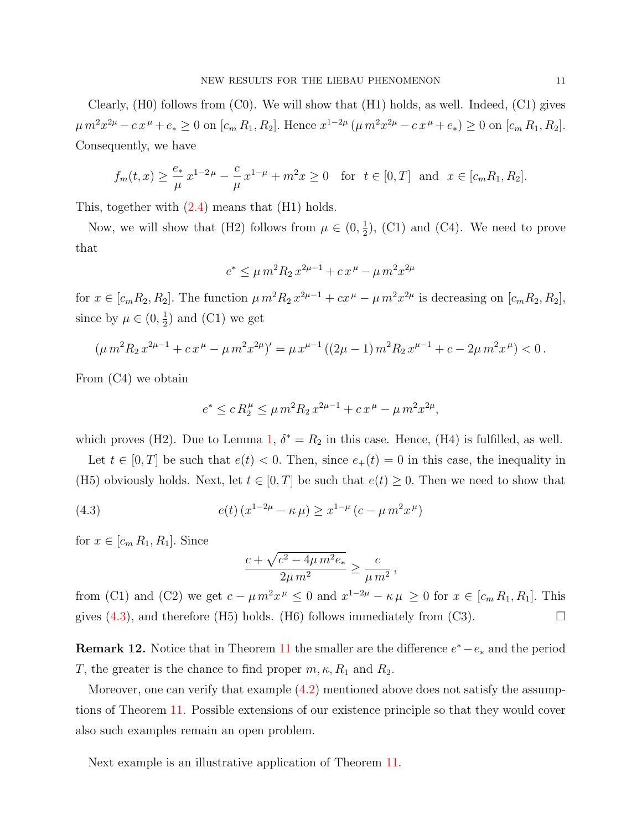Clearly, (H0) follows from (C0). We will show that (H1) holds, as well. Indeed, (C1) gives  $\mu m^2 x^{2\mu} - c x^{\mu} + e_* \ge 0$  on  $[c_m R_1, R_2]$ . Hence  $x^{1-2\mu} (\mu m^2 x^{2\mu} - c x^{\mu} + e_*) \ge 0$  on  $[c_m R_1, R_2]$ . Consequently, we have

$$
f_m(t, x) \ge \frac{e_*}{\mu} x^{1-2\mu} - \frac{c}{\mu} x^{1-\mu} + m^2 x \ge 0
$$
 for  $t \in [0, T]$  and  $x \in [c_m R_1, R_2]$ .

This, together with [\(2.4\)](#page-3-0) means that (H1) holds.

Now, we will show that (H2) follows from  $\mu \in (0, \frac{1}{2})$  $(\frac{1}{2})$ , (C1) and (C4). We need to prove that

$$
e^* \le \mu m^2 R_2 x^{2\mu - 1} + c x^{\mu} - \mu m^2 x^{2\mu}
$$

for  $x \in [c_m R_2, R_2]$ . The function  $\mu m^2 R_2 x^{2\mu-1} + cx^{\mu} - \mu m^2 x^{2\mu}$  is decreasing on  $[c_m R_2, R_2]$ , since by  $\mu \in (0, \frac{1}{2})$  $(\frac{1}{2})$  and  $(C1)$  we get

$$
(\mu m^2 R_2 x^{2\mu-1} + c x^{\mu} - \mu m^2 x^{2\mu})' = \mu x^{\mu-1} ((2\mu - 1) m^2 R_2 x^{\mu-1} + c - 2\mu m^2 x^{\mu}) < 0.
$$

From (C4) we obtain

$$
e^* \le c R_2^{\mu} \le \mu m^2 R_2 x^{2\mu - 1} + c x^{\mu} - \mu m^2 x^{2\mu},
$$

which proves (H2). Due to Lemma [1,](#page-3-1)  $\delta^* = R_2$  in this case. Hence, (H4) is fulfilled, as well.

Let  $t \in [0, T]$  be such that  $e(t) < 0$ . Then, since  $e_+(t) = 0$  in this case, the inequality in (H5) obviously holds. Next, let  $t \in [0, T]$  be such that  $e(t) \geq 0$ . Then we need to show that

(4.3) 
$$
e(t) (x^{1-2\mu} - \kappa \mu) \ge x^{1-\mu} (c - \mu m^2 x^{\mu})
$$

for  $x \in [c_m R_1, R_1]$ . Since

$$
\frac{c + \sqrt{c^2 - 4\mu m^2 e_*}}{2\mu m^2} \ge \frac{c}{\mu m^2},
$$

from (C1) and (C2) we get  $c - \mu m^2 x^{\mu} \leq 0$  and  $x^{1-2\mu} - \kappa \mu \geq 0$  for  $x \in [c_m R_1, R_1]$ . This gives  $(4.3)$ , and therefore (H5) holds. (H6) follows immediately from (C3).

**Remark 12.** Notice that in Theorem [11](#page-9-2) the smaller are the difference  $e^* - e_*$  and the period T, the greater is the chance to find proper  $m, \kappa, R_1$  and  $R_2$ .

Moreover, one can verify that example  $(4.2)$  mentioned above does not satisfy the assumptions of Theorem [11.](#page-9-2) Possible extensions of our existence principle so that they would cover also such examples remain an open problem.

Next example is an illustrative application of Theorem [11.](#page-9-2)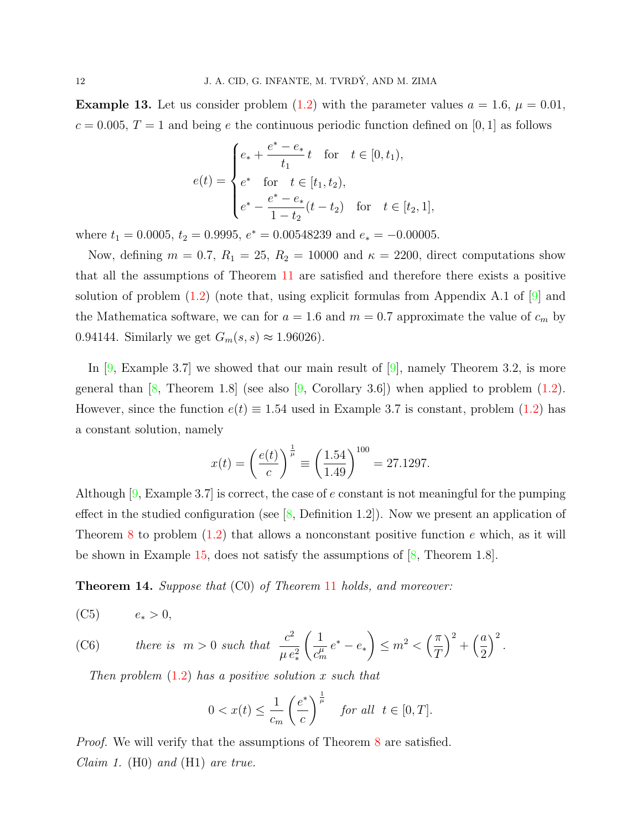<span id="page-11-1"></span>**Example 13.** Let us consider problem [\(1.2\)](#page-1-0) with the parameter values  $a = 1.6$ ,  $\mu = 0.01$ ,  $c = 0.005, T = 1$  and being e the continuous periodic function defined on [0, 1] as follows

$$
e(t) = \begin{cases} e_* + \frac{e^* - e_*}{t_1}t & \text{for } t \in [0, t_1), \\ e^* & \text{for } t \in [t_1, t_2), \\ e^* - \frac{e^* - e_*}{1 - t_2}(t - t_2) & \text{for } t \in [t_2, 1], \end{cases}
$$

where  $t_1 = 0.0005$ ,  $t_2 = 0.9995$ ,  $e^* = 0.00548239$  and  $e_* = -0.00005$ .

Now, defining  $m = 0.7$ ,  $R_1 = 25$ ,  $R_2 = 10000$  and  $\kappa = 2200$ , direct computations show that all the assumptions of Theorem [11](#page-9-2) are satisfied and therefore there exists a positive solution of problem  $(1.2)$  (note that, using explicit formulas from Appendix A.1 of  $[9]$  and the Mathematica software, we can for  $a = 1.6$  and  $m = 0.7$  approximate the value of  $c_m$  by 0.94144. Similarly we get  $G_m(s, s) \approx 1.96026$ .

In  $[9,$  Example 3.7 we showed that our main result of  $[9]$ , namely Theorem 3.2, is more general than  $\begin{bmatrix} 8, \end{bmatrix}$  Theorem 1.8] (see also  $\begin{bmatrix} 9, \end{bmatrix}$  Corollary 3.6]) when applied to problem [\(1.2\)](#page-1-0). However, since the function  $e(t) \equiv 1.54$  used in Example 3.7 is constant, problem [\(1.2\)](#page-1-0) has a constant solution, namely

$$
x(t) = \left(\frac{e(t)}{c}\right)^{\frac{1}{\mu}} \equiv \left(\frac{1.54}{1.49}\right)^{100} = 27.1297.
$$

Although [\[9,](#page-15-5) Example 3.7] is correct, the case of e constant is not meaningful for the pumping effect in the studied configuration (see  $[8,$  Definition 1.2]). Now we present an application of Theorem [8](#page-7-0) to problem  $(1.2)$  that allows a nonconstant positive function e which, as it will be shown in Example [15,](#page-13-0) does not satisfy the assumptions of  $\langle 8, \text{Theorem } 1.8 \rangle$ .

<span id="page-11-0"></span>**Theorem 14.** Suppose that (C0) of Theorem [11](#page-9-2) holds, and moreover:

(C5)  $e_* > 0$ ,

(C6) *there is* 
$$
m > 0
$$
 *such that* 
$$
\frac{c^2}{\mu e_*^2} \left( \frac{1}{c_m^{\mu}} e^* - e_* \right) \leq m^2 < \left( \frac{\pi}{T} \right)^2 + \left( \frac{a}{2} \right)^2.
$$

Then problem  $(1.2)$  has a positive solution x such that

$$
0 < x(t) \le \frac{1}{c_m} \left(\frac{e^*}{c}\right)^{\frac{1}{\mu}} \quad \text{for all} \ \ t \in [0, T].
$$

*Proof.* We will verify that the assumptions of Theorem [8](#page-7-0) are satisfied. *Claim 1.* (H0) and (H1) are true.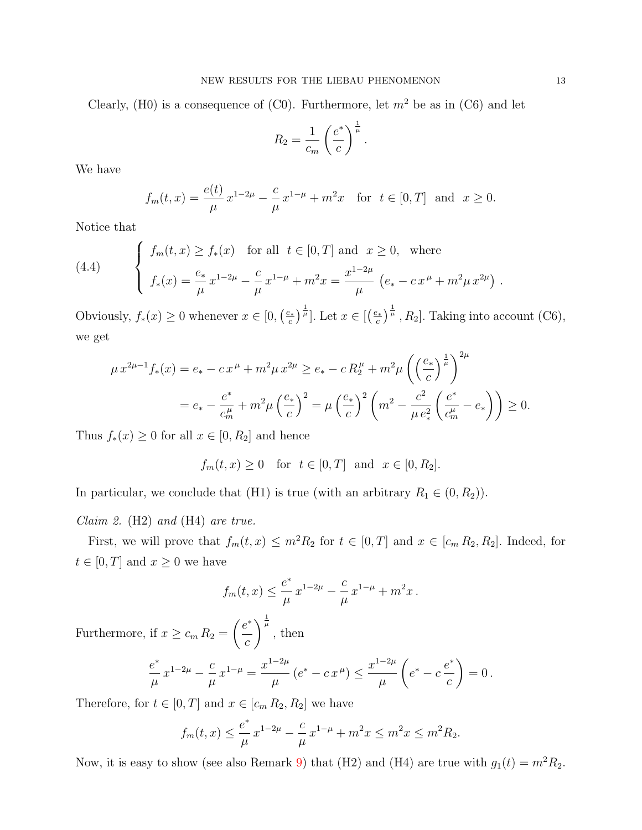Clearly, (H0) is a consequence of (C0). Furthermore, let  $m^2$  be as in (C6) and let

$$
R_2 = \frac{1}{c_m} \left(\frac{e^*}{c}\right)^{\frac{1}{\mu}}.
$$

We have

$$
f_m(t,x) = \frac{e(t)}{\mu} x^{1-2\mu} - \frac{c}{\mu} x^{1-\mu} + m^2 x
$$
 for  $t \in [0,T]$  and  $x \ge 0$ .

Notice that

<span id="page-12-0"></span>(4.4) 
$$
\begin{cases} f_m(t,x) \ge f_*(x) & \text{for all } t \in [0,T] \text{ and } x \ge 0, \text{ where} \\ f_*(x) = \frac{e_*}{\mu} x^{1-2\mu} - \frac{c}{\mu} x^{1-\mu} + m^2 x = \frac{x^{1-2\mu}}{\mu} \left( e_* - c x^{\mu} + m^2 \mu x^{2\mu} \right). \end{cases}
$$

Obviously,  $f_*(x) \geq 0$  whenever  $x \in [0, (\frac{e_*}{c})$  $\left[\frac{e_*}{c}\right)^{\frac{1}{\mu}}$ . Let  $x \in \left[\left(\frac{e_*}{c}\right)\right]$  $(\frac{2*}{c})^{\frac{1}{\mu}}$ ,  $R_2$ . Taking into account (C6), we get

$$
\mu x^{2\mu - 1} f_*(x) = e_* - c x^{\mu} + m^2 \mu x^{2\mu} \ge e_* - c R_2^{\mu} + m^2 \mu \left( \left( \frac{e_*}{c} \right)^{\frac{1}{\mu}} \right)^{2\mu}
$$
  
=  $e_* - \frac{e^*}{c_m^{\mu}} + m^2 \mu \left( \frac{e_*}{c} \right)^2 = \mu \left( \frac{e_*}{c} \right)^2 \left( m^2 - \frac{c^2}{\mu e_*^2} \left( \frac{e^*}{c_m^{\mu}} - e_* \right) \right) \ge 0.$ 

Thus  $f_*(x) \geq 0$  for all  $x \in [0, R_2]$  and hence

 $f_m(t, x) \geq 0$  for  $t \in [0, T]$  and  $x \in [0, R_2]$ .

In particular, we conclude that (H1) is true (with an arbitrary  $R_1 \in (0, R_2)$ ).

### *Claim 2.* (H2) and (H4) are true.

First, we will prove that  $f_m(t, x) \leq m^2 R_2$  for  $t \in [0, T]$  and  $x \in [c_m R_2, R_2]$ . Indeed, for  $t \in [0, T]$  and  $x \geq 0$  we have

$$
f_m(t,x) \leq \frac{e^*}{\mu} x^{1-2\mu} - \frac{c}{\mu} x^{1-\mu} + m^2 x.
$$

Furthermore, if  $x \geq c_m R_2 =$  $(e^*)$ c  $\int^{\frac{1}{\mu}}$ , then e ∗  $\mu$  $x^{1-2\mu} - \frac{c}{\tau}$  $\mu$  $x^{1-\mu} = \frac{x^{1-2\mu}}{\sigma}$  $\mu$  $(e^* - c x^{\mu}) \leq \frac{x^{1-2\mu}}{2\mu}$  $\mu$  $\sqrt{ }$  $e^* - c \stackrel{e^*}{-}$ c  $\setminus$ 

Therefore, for  $t \in [0, T]$  and  $x \in [c_m R_2, R_2]$  we have

$$
f_m(t,x) \leq \frac{e^*}{\mu} x^{1-2\mu} - \frac{c}{\mu} x^{1-\mu} + m^2 x \leq m^2 x \leq m^2 R_2.
$$

 $= 0$ .

Now, it is easy to show (see also Remark [9\)](#page-8-1) that (H2) and (H4) are true with  $g_1(t) = m^2 R_2$ .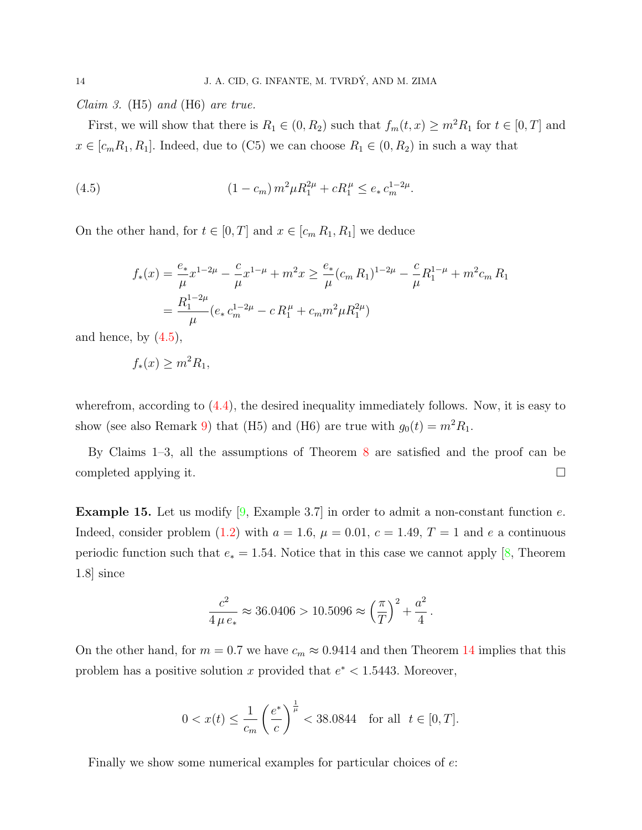*Claim 3.* (H5) and (H6) are true.

First, we will show that there is  $R_1 \in (0, R_2)$  such that  $f_m(t, x) \geq m^2 R_1$  for  $t \in [0, T]$  and  $x \in [c_m R_1, R_1]$ . Indeed, due to (C5) we can choose  $R_1 \in (0, R_2)$  in such a way that

(4.5) 
$$
(1 - c_m) m^2 \mu R_1^{2\mu} + c R_1^{\mu} \le e_* c_m^{1 - 2\mu}.
$$

On the other hand, for  $t \in [0, T]$  and  $x \in [c_m R_1, R_1]$  we deduce

<span id="page-13-1"></span>
$$
f_*(x) = \frac{e_*}{\mu} x^{1-2\mu} - \frac{c}{\mu} x^{1-\mu} + m^2 x \ge \frac{e_*}{\mu} (c_m R_1)^{1-2\mu} - \frac{c}{\mu} R_1^{1-\mu} + m^2 c_m R_1
$$
  
= 
$$
\frac{R_1^{1-2\mu}}{\mu} (e_* c_m^{1-2\mu} - c R_1^{\mu} + c_m m^2 \mu R_1^{2\mu})
$$

and hence, by  $(4.5)$ ,

$$
f_*(x) \ge m^2 R_1,
$$

wherefrom, according to  $(4.4)$ , the desired inequality immediately follows. Now, it is easy to show (see also Remark [9\)](#page-8-1) that (H5) and (H6) are true with  $g_0(t) = m^2 R_1$ .

By Claims 1–3, all the assumptions of Theorem [8](#page-7-0) are satisfied and the proof can be completed applying it.

<span id="page-13-0"></span>**Example 15.** Let us modify  $[9, \text{Example } 3.7]$  $[9, \text{Example } 3.7]$  in order to admit a non-constant function e. Indeed, consider problem [\(1.2\)](#page-1-0) with  $a = 1.6$ ,  $\mu = 0.01$ ,  $c = 1.49$ ,  $T = 1$  and e a continuous periodic function such that  $e_* = 1.54$ . Notice that in this case we cannot apply [\[8,](#page-15-4) Theorem 1.8] since

$$
\frac{c^2}{4 \mu e_*} \approx 36.0406 > 10.5096 \approx \left(\frac{\pi}{T}\right)^2 + \frac{a^2}{4}.
$$

On the other hand, for  $m = 0.7$  we have  $c_m \approx 0.9414$  $c_m \approx 0.9414$  and then Theorem 14 implies that this problem has a positive solution x provided that  $e^* < 1.5443$ . Moreover,

$$
0 < x(t) \le \frac{1}{c_m} \left(\frac{e^*}{c}\right)^{\frac{1}{\mu}} < 38.0844
$$
 for all  $t \in [0, T]$ .

Finally we show some numerical examples for particular choices of  $e$ .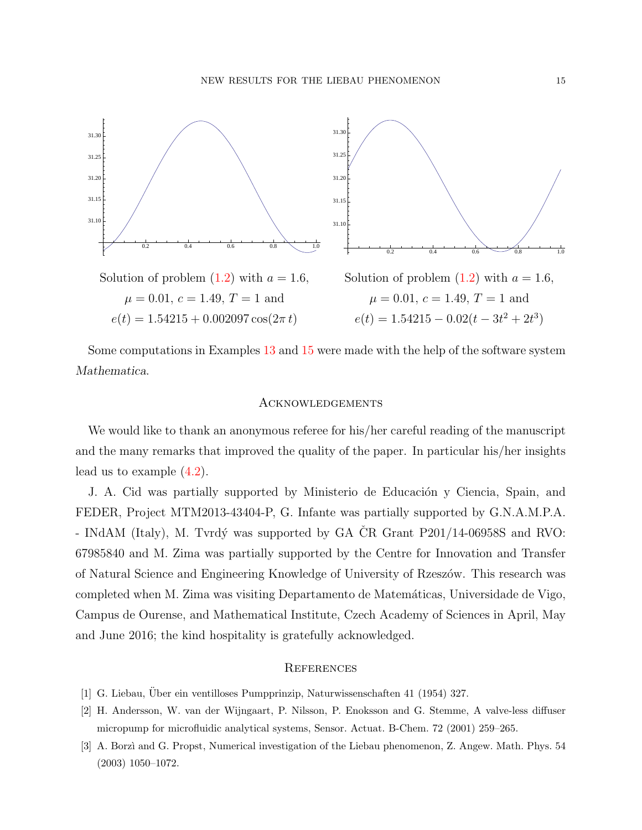

Some computations in Examples [13](#page-11-1) and [15](#page-13-0) were made with the help of the software system Mathematica.

### **ACKNOWLEDGEMENTS**

We would like to thank an anonymous referee for his/her careful reading of the manuscript and the many remarks that improved the quality of the paper. In particular his/her insights lead us to example [\(4.2\)](#page-9-0).

J. A. Cid was partially supported by Ministerio de Educación y Ciencia, Spain, and FEDER, Project MTM2013-43404-P, G. Infante was partially supported by G.N.A.M.P.A. - INdAM (Italy), M. Tvrdý was supported by GA ČR Grant  $P201/14-06958S$  and RVO: 67985840 and M. Zima was partially supported by the Centre for Innovation and Transfer of Natural Science and Engineering Knowledge of University of Rzesz´ow. This research was completed when M. Zima was visiting Departamento de Matem´aticas, Universidade de Vigo, Campus de Ourense, and Mathematical Institute, Czech Academy of Sciences in April, May and June 2016; the kind hospitality is gratefully acknowledged.

### **REFERENCES**

- <span id="page-14-0"></span>[1] G. Liebau, Uber ein ventilloses Pumpprinzip, Naturwissenschaften 41 (1954) 327. ¨
- <span id="page-14-1"></span>[2] H. Andersson, W. van der Wijngaart, P. Nilsson, P. Enoksson and G. Stemme, A valve-less diffuser micropump for microfluidic analytical systems, Sensor. Actuat. B-Chem. 72 (2001) 259–265.
- <span id="page-14-2"></span>[3] A. Borzì and G. Propst, Numerical investigation of the Liebau phenomenon, Z. Angew. Math. Phys. 54 (2003) 1050–1072.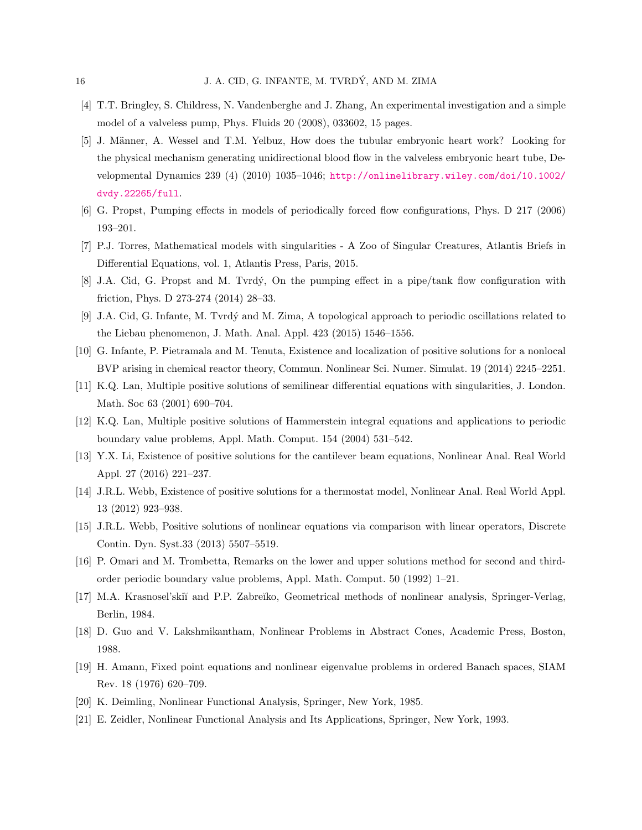- <span id="page-15-0"></span>[4] T.T. Bringley, S. Childress, N. Vandenberghe and J. Zhang, An experimental investigation and a simple model of a valveless pump, Phys. Fluids 20 (2008), 033602, 15 pages.
- <span id="page-15-1"></span>[5] J. Männer, A. Wessel and T.M. Yelbuz, How does the tubular embryonic heart work? Looking for the physical mechanism generating unidirectional blood flow in the valveless embryonic heart tube, Developmental Dynamics 239 (4) (2010) 1035–1046; [http://onlinelibrary.wiley.com/doi/10.1002/](http://onlinelibrary.wiley.com/doi/10.1002/dvdy.22265/full) [dvdy.22265/full](http://onlinelibrary.wiley.com/doi/10.1002/dvdy.22265/full).
- <span id="page-15-2"></span>[6] G. Propst, Pumping effects in models of periodically forced flow configurations, Phys. D 217 (2006) 193–201.
- <span id="page-15-3"></span>[7] P.J. Torres, Mathematical models with singularities - A Zoo of Singular Creatures, Atlantis Briefs in Differential Equations, vol. 1, Atlantis Press, Paris, 2015.
- <span id="page-15-4"></span>[8] J.A. Cid, G. Propst and M. Tvrd´y, On the pumping effect in a pipe/tank flow configuration with friction, Phys. D 273-274 (2014) 28–33.
- <span id="page-15-5"></span>[9] J.A. Cid, G. Infante, M. Tvrdý and M. Zima, A topological approach to periodic oscillations related to the Liebau phenomenon, J. Math. Anal. Appl. 423 (2015) 1546–1556.
- <span id="page-15-6"></span>[10] G. Infante, P. Pietramala and M. Tenuta, Existence and localization of positive solutions for a nonlocal BVP arising in chemical reactor theory, Commun. Nonlinear Sci. Numer. Simulat. 19 (2014) 2245–2251.
- <span id="page-15-7"></span>[11] K.Q. Lan, Multiple positive solutions of semilinear differential equations with singularities, J. London. Math. Soc 63 (2001) 690–704.
- <span id="page-15-8"></span>[12] K.Q. Lan, Multiple positive solutions of Hammerstein integral equations and applications to periodic boundary value problems, Appl. Math. Comput. 154 (2004) 531–542.
- <span id="page-15-9"></span>[13] Y.X. Li, Existence of positive solutions for the cantilever beam equations, Nonlinear Anal. Real World Appl. 27 (2016) 221–237.
- <span id="page-15-10"></span>[14] J.R.L. Webb, Existence of positive solutions for a thermostat model, Nonlinear Anal. Real World Appl. 13 (2012) 923–938.
- <span id="page-15-11"></span>[15] J.R.L. Webb, Positive solutions of nonlinear equations via comparison with linear operators, Discrete Contin. Dyn. Syst.33 (2013) 5507–5519.
- <span id="page-15-12"></span>[16] P. Omari and M. Trombetta, Remarks on the lower and upper solutions method for second and thirdorder periodic boundary value problems, Appl. Math. Comput. 50 (1992) 1–21.
- <span id="page-15-13"></span>[17] M.A. Krasnosel'ski˘ı and P.P. Zabre˘ıko, Geometrical methods of nonlinear analysis, Springer-Verlag, Berlin, 1984.
- <span id="page-15-14"></span>[18] D. Guo and V. Lakshmikantham, Nonlinear Problems in Abstract Cones, Academic Press, Boston, 1988.
- <span id="page-15-15"></span>[19] H. Amann, Fixed point equations and nonlinear eigenvalue problems in ordered Banach spaces, SIAM Rev. 18 (1976) 620–709.
- <span id="page-15-16"></span>[20] K. Deimling, Nonlinear Functional Analysis, Springer, New York, 1985.
- <span id="page-15-17"></span>[21] E. Zeidler, Nonlinear Functional Analysis and Its Applications, Springer, New York, 1993.